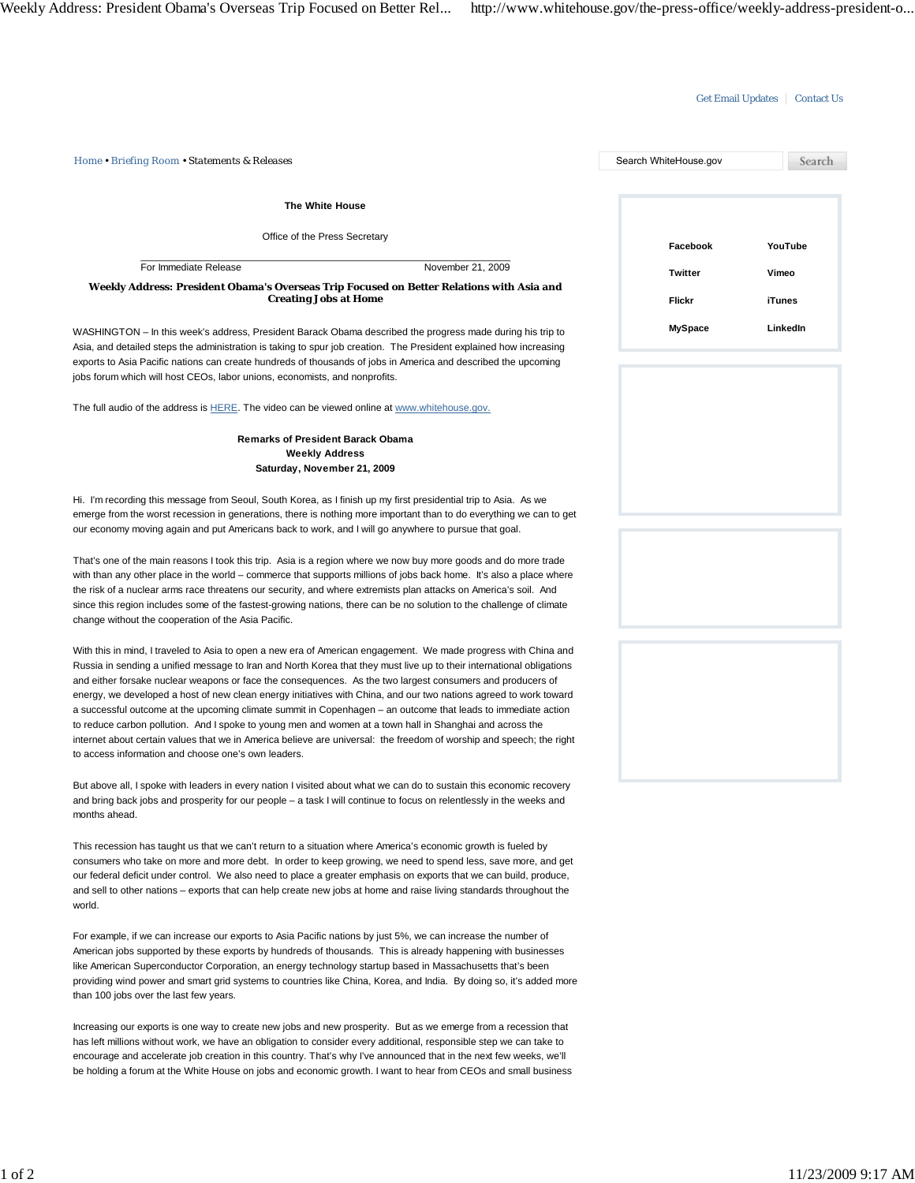## Get Email Updates | Contact Us

| Home • Briefing Room • Statements & Releases                                                                                                                                                                                                                                                                                                                                                                                                                                                                                                                                                                                                                                                                                                                                                                                                                                            | Search WhiteHouse.gov | Search   |
|-----------------------------------------------------------------------------------------------------------------------------------------------------------------------------------------------------------------------------------------------------------------------------------------------------------------------------------------------------------------------------------------------------------------------------------------------------------------------------------------------------------------------------------------------------------------------------------------------------------------------------------------------------------------------------------------------------------------------------------------------------------------------------------------------------------------------------------------------------------------------------------------|-----------------------|----------|
| The White House                                                                                                                                                                                                                                                                                                                                                                                                                                                                                                                                                                                                                                                                                                                                                                                                                                                                         |                       |          |
| Office of the Press Secretary                                                                                                                                                                                                                                                                                                                                                                                                                                                                                                                                                                                                                                                                                                                                                                                                                                                           | Facebook              | YouTube  |
| For Immediate Release<br>November 21, 2009                                                                                                                                                                                                                                                                                                                                                                                                                                                                                                                                                                                                                                                                                                                                                                                                                                              | <b>Twitter</b>        | Vimeo    |
| Weekly Address: President Obama's Overseas Trip Focused on Better Relations with Asia and<br><b>Creating Jobs at Home</b>                                                                                                                                                                                                                                                                                                                                                                                                                                                                                                                                                                                                                                                                                                                                                               |                       |          |
|                                                                                                                                                                                                                                                                                                                                                                                                                                                                                                                                                                                                                                                                                                                                                                                                                                                                                         | Flickr                | iTunes   |
| WASHINGTON – In this week's address, President Barack Obama described the progress made during his trip to<br>Asia, and detailed steps the administration is taking to spur job creation. The President explained how increasing<br>exports to Asia Pacific nations can create hundreds of thousands of jobs in America and described the upcoming<br>jobs forum which will host CEOs, labor unions, economists, and nonprofits.                                                                                                                                                                                                                                                                                                                                                                                                                                                        | <b>MySpace</b>        | LinkedIn |
| The full audio of the address is HERE. The video can be viewed online at www.whitehouse.gov.                                                                                                                                                                                                                                                                                                                                                                                                                                                                                                                                                                                                                                                                                                                                                                                            |                       |          |
| <b>Remarks of President Barack Obama</b><br><b>Weekly Address</b>                                                                                                                                                                                                                                                                                                                                                                                                                                                                                                                                                                                                                                                                                                                                                                                                                       |                       |          |
| Saturday, November 21, 2009                                                                                                                                                                                                                                                                                                                                                                                                                                                                                                                                                                                                                                                                                                                                                                                                                                                             |                       |          |
| Hi. I'm recording this message from Seoul, South Korea, as I finish up my first presidential trip to Asia. As we<br>emerge from the worst recession in generations, there is nothing more important than to do everything we can to get<br>our economy moving again and put Americans back to work, and I will go anywhere to pursue that goal.                                                                                                                                                                                                                                                                                                                                                                                                                                                                                                                                         |                       |          |
| That's one of the main reasons I took this trip. Asia is a region where we now buy more goods and do more trade<br>with than any other place in the world – commerce that supports millions of jobs back home. It's also a place where<br>the risk of a nuclear arms race threatens our security, and where extremists plan attacks on America's soil. And<br>since this region includes some of the fastest-growing nations, there can be no solution to the challenge of climate<br>change without the cooperation of the Asia Pacific.                                                                                                                                                                                                                                                                                                                                               |                       |          |
| With this in mind, I traveled to Asia to open a new era of American engagement. We made progress with China and<br>Russia in sending a unified message to Iran and North Korea that they must live up to their international obligations<br>and either forsake nuclear weapons or face the consequences. As the two largest consumers and producers of<br>energy, we developed a host of new clean energy initiatives with China, and our two nations agreed to work toward<br>a successful outcome at the upcoming climate summit in Copenhagen - an outcome that leads to immediate action<br>to reduce carbon pollution. And I spoke to young men and women at a town hall in Shanghai and across the<br>internet about certain values that we in America believe are universal: the freedom of worship and speech; the right<br>to access information and choose one's own leaders. |                       |          |
| But above all, I spoke with leaders in every nation I visited about what we can do to sustain this economic recovery<br>and bring back jobs and prosperity for our people – a task I will continue to focus on relentlessly in the weeks and<br>months ahead.                                                                                                                                                                                                                                                                                                                                                                                                                                                                                                                                                                                                                           |                       |          |
| This recession has taught us that we can't return to a situation where America's economic growth is fueled by<br>consumers who take on more and more debt. In order to keep growing, we need to spend less, save more, and get<br>our federal deficit under control. We also need to place a greater emphasis on exports that we can build, produce,<br>and sell to other nations – exports that can help create new jobs at home and raise living standards throughout the<br>world.                                                                                                                                                                                                                                                                                                                                                                                                   |                       |          |
| For example, if we can increase our exports to Asia Pacific nations by just 5%, we can increase the number of<br>American jobs supported by these exports by hundreds of thousands. This is already happening with businesses<br>like American Superconductor Corporation, an energy technology startup based in Massachusetts that's been<br>providing wind power and smart grid systems to countries like China, Korea, and India. By doing so, it's added more<br>than 100 jobs over the last few years.                                                                                                                                                                                                                                                                                                                                                                             |                       |          |
| Increasing our exports is one way to create new jobs and new prosperity. But as we emerge from a recession that<br>has left millions without work, we have an obligation to consider every additional, responsible step we can take to<br>encourage and accelerate job creation in this country. That's why I've announced that in the next few weeks, we'll<br>be holding a forum at the White House on jobs and economic growth. I want to hear from CEOs and small business                                                                                                                                                                                                                                                                                                                                                                                                          |                       |          |